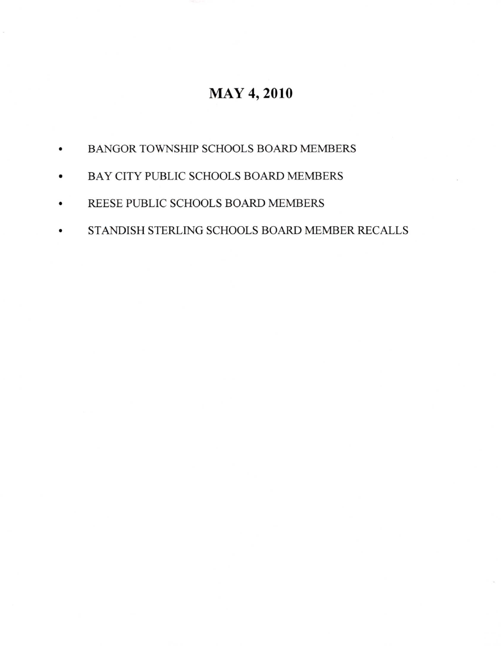## MAY 4, 2010

- a BANGOR TOWNSHIP SCHOOLS BOARD MEMBERS
- a BAY CITY PUBLIC SCHOOLS BOARD MEMBERS
- o REESE PUBLIC SCHOOLS BOARD MEMBERS
- a STANDISH STERLING SCHOOLS BOARD MEMBER RECALLS